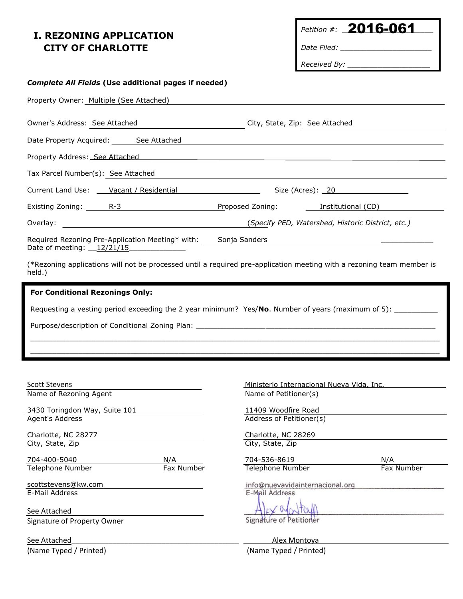## **I. REZONING APPLICATION CITY OF CHARLOTTE**

Petition #: **2016-061** 

*Date Filed: \_\_\_\_\_\_\_\_\_\_\_\_\_\_\_\_\_\_\_\_\_*

*Received By: \_\_\_\_\_\_\_\_\_\_\_\_\_\_\_\_\_\_\_*

## *Complete All Fields* **(Use additional pages if needed)** Property Owner: Multiple (See Attached) Owner's Address: See Attached City, State, Zip: See Attached Date Property Acquired: See Attached Property Address: See Attached Tax Parcel Number(s): See Attached Current Land Use: Vacant / Residential Size (Acres): 20 Existing Zoning: <u>R-3 R-3 Resolutional</u> Repressed Zoning: Institutional (CD) Overlay: (*Specify PED, Watershed, Historic District, etc.)* Required Rezoning Pre-Application Meeting\* with: Sonja Sanders Date of meeting:  $12/21/15$ (\*Rezoning applications will not be processed until a required pre-application meeting with a rezoning team member is held.) **For Conditional Rezonings Only:**

 $\Box$  $\Box$ 

Requesting a vesting period exceeding the 2 year minimum? Yes/**No**. Number of years (maximum of 5): \_\_\_\_\_\_\_\_\_\_

Purpose/description of Conditional Zoning Plan:

Scott Stevens **Ministerio Internacional Nueva Vida, Inc.** And The Ministerio Internacional Nueva Vida, Inc. Name of Rezoning Agent Name of Petitioner(s) 3430 Toringdon Way, Suite 101 1150 11409 Woodfire Road Agent's Address Address Address of Petitioner(s) Charlotte, NC 28277 Charlotte, NC 28269 City, State, Zip City, State, Zip 704-400-5040 N/A 704-536-8619 N/A Telephone Number Fax Number Telephone Number Fax Number scottstevens@kw.com E-Mail Address

See Attached Signature of Property Owner

(Name Typed / Printed) (Name Typed / Printed)

info@nuevavidainternacional.org E-Mail Address

Signature of Petitioner

See Attached **See Attached See Attached**